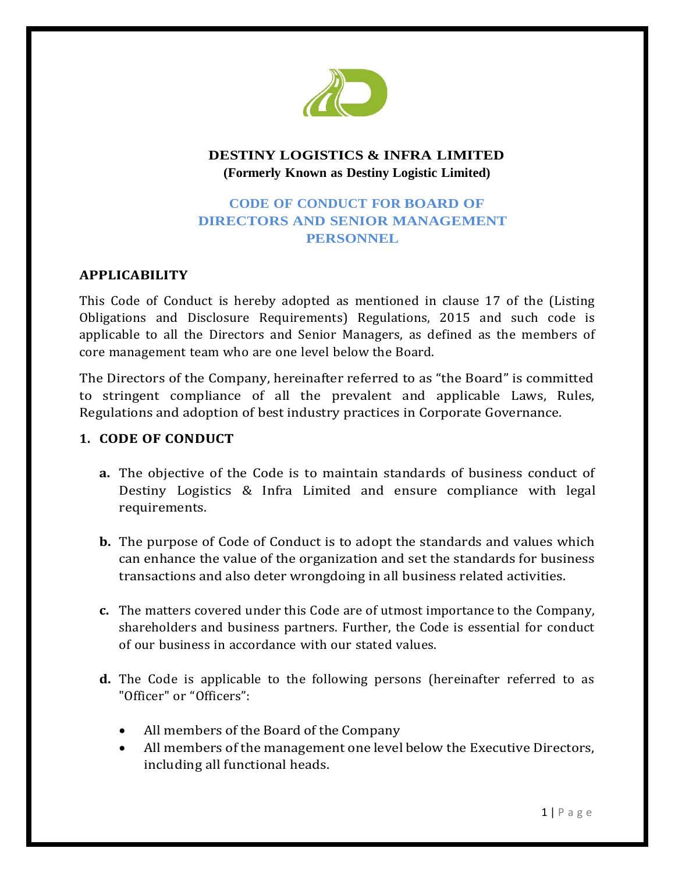

## **DESTINY LOGISTICS & INFRA LIMITED (Formerly Known as Destiny Logistic Limited)**

# **CODE OF CONDUCT FOR BOARD OF DIRECTORS AND SENIOR MANAGEMENT PERSONNEL**

## **APPLICABILITY**

This Code of Conduct is hereby adopted as mentioned in clause 17 of the (Listing Obligations and Disclosure Requirements) Regulations, 2015 and such code is applicable to all the Directors and Senior Managers, as defined as the members of core management team who are one level below the Board.

The Directors of the Company, hereinafter referred to as "the Board" is committed to stringent compliance of all the prevalent and applicable Laws, Rules, Regulations and adoption of best industry practices in Corporate Governance.

### **1. CODE OF CONDUCT**

- **a.** The objective of the Code is to maintain standards of business conduct of Destiny Logistics & Infra Limited and ensure compliance with legal requirements.
- **b.** The purpose of Code of Conduct is to adopt the standards and values which can enhance the value of the organization and set the standards for business transactions and also deter wrongdoing in all business related activities.
- **c.** The matters covered under this Code are of utmost importance to the Company, shareholders and business partners. Further, the Code is essential for conduct of our business in accordance with our stated values.
- **d.** The Code is applicable to the following persons (hereinafter referred to as "Officer" or "Officers":
	- All members of the Board of the Company
	- All members of the management one level below the Executive Directors, including all functional heads.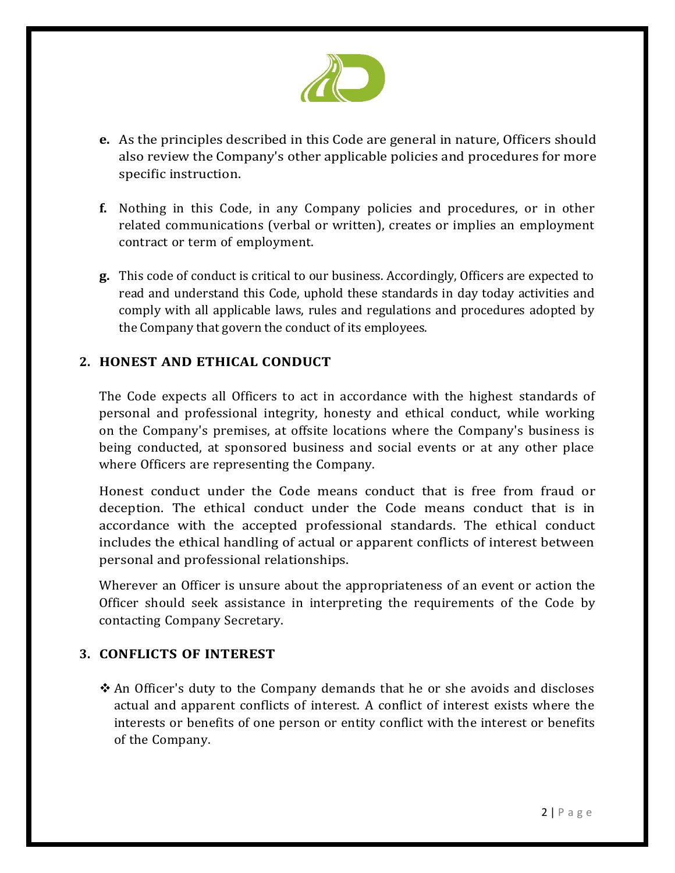

- **e.** As the principles described in this Code are general in nature, Officers should also review the Company's other applicable policies and procedures for more specific instruction.
- **f.** Nothing in this Code, in any Company policies and procedures, or in other related communications (verbal or written), creates or implies an employment contract or term of employment.
- **g.** This code of conduct is critical to our business. Accordingly, Officers are expected to read and understand this Code, uphold these standards in day today activities and comply with all applicable laws, rules and regulations and procedures adopted by the Company that govern the conduct of its employees.

## **2. HONEST AND ETHICAL CONDUCT**

The Code expects all Officers to act in accordance with the highest standards of personal and professional integrity, honesty and ethical conduct, while working on the Company's premises, at offsite locations where the Company's business is being conducted, at sponsored business and social events or at any other place where Officers are representing the Company.

Honest conduct under the Code means conduct that is free from fraud or deception. The ethical conduct under the Code means conduct that is in accordance with the accepted professional standards. The ethical conduct includes the ethical handling of actual or apparent conflicts of interest between personal and professional relationships.

Wherever an Officer is unsure about the appropriateness of an event or action the Officer should seek assistance in interpreting the requirements of the Code by contacting Company Secretary.

#### **3. CONFLICTS OF INTEREST**

\* An Officer's duty to the Company demands that he or she avoids and discloses actual and apparent conflicts of interest. A conflict of interest exists where the interests or benefits of one person or entity conflict with the interest or benefits of the Company.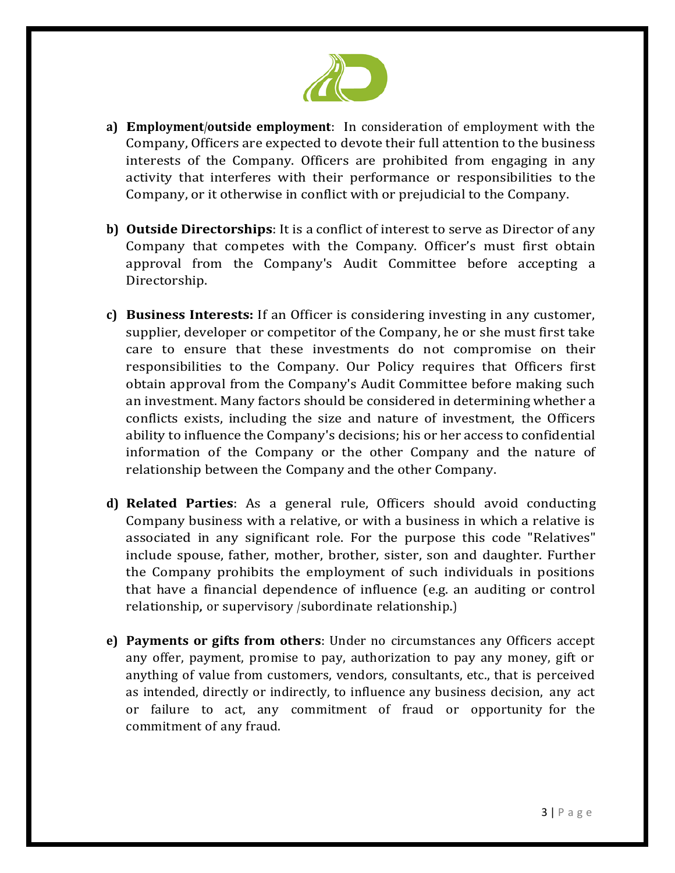

- **a) Employment/outside employment**: In consideration of employment with the Company, Officers are expected to devote their full attention to the business interests of the Company. Officers are prohibited from engaging in any activity that interferes with their performance or responsibilities to the Company, or it otherwise in conflict with or prejudicial to the Company.
- **b) Outside Directorships**: It is a conflict of interest to serve as Director of any Company that competes with the Company. Officer's must first obtain approval from the Company's Audit Committee before accepting a Directorship.
- **c) Business Interests:** If an Officer is considering investing in any customer, supplier, developer or competitor of the Company, he or she must first take care to ensure that these investments do not compromise on their responsibilities to the Company. Our Policy requires that Officers first obtain approval from the Company's Audit Committee before making such an investment. Many factors should be considered in determining whether a conflicts exists, including the size and nature of investment, the Officers ability to influence the Company's decisions; his or her access to confidential information of the Company or the other Company and the nature of relationship between the Company and the other Company.
- **d) Related Parties**: As a general rule, Officers should avoid conducting Company business with a relative, or with a business in which a relative is associated in any significant role. For the purpose this code "Relatives" include spouse, father, mother, brother, sister, son and daughter. Further the Company prohibits the employment of such individuals in positions that have a financial dependence of influence (e.g. an auditing or control relationship, or supervisory /subordinate relationship.)
- **e) Payments or gifts from others**: Under no circumstances any Officers accept any offer, payment, promise to pay, authorization to pay any money, gift or anything of value from customers, vendors, consultants, etc., that is perceived as intended, directly or indirectly, to influence any business decision, any act or failure to act, any commitment of fraud or opportunity for the commitment of any fraud.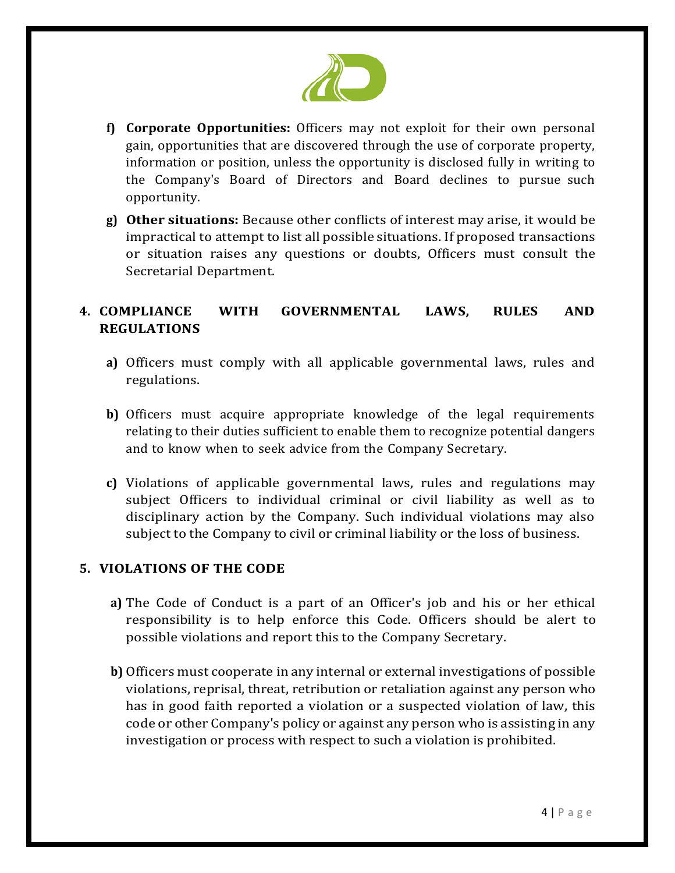

- **f) Corporate Opportunities:** Officers may not exploit for their own personal gain, opportunities that are discovered through the use of corporate property, information or position, unless the opportunity is disclosed fully in writing to the Company's Board of Directors and Board declines to pursue such opportunity.
- **g) Other situations:** Because other conflicts of interest may arise, it would be impractical to attempt to list all possible situations. If proposed transactions or situation raises any questions or doubts, Officers must consult the Secretarial Department.

# **4. COMPLIANCE WITH GOVERNMENTAL LAWS, RULES AND REGULATIONS**

- **a)** Officers must comply with all applicable governmental laws, rules and regulations.
- **b)** Officers must acquire appropriate knowledge of the legal requirements relating to their duties sufficient to enable them to recognize potential dangers and to know when to seek advice from the Company Secretary.
- **c)** Violations of applicable governmental laws, rules and regulations may subject Officers to individual criminal or civil liability as well as to disciplinary action by the Company. Such individual violations may also subject to the Company to civil or criminal liability or the loss of business.

#### **5. VIOLATIONS OF THE CODE**

- **a)** The Code of Conduct is a part of an Officer's job and his or her ethical responsibility is to help enforce this Code. Officers should be alert to possible violations and report this to the Company Secretary.
- **b)** Officers must cooperate in any internal or external investigations of possible violations, reprisal, threat, retribution or retaliation against any person who has in good faith reported a violation or a suspected violation of law, this code or other Company's policy or against any person who is assisting in any investigation or process with respect to such a violation is prohibited.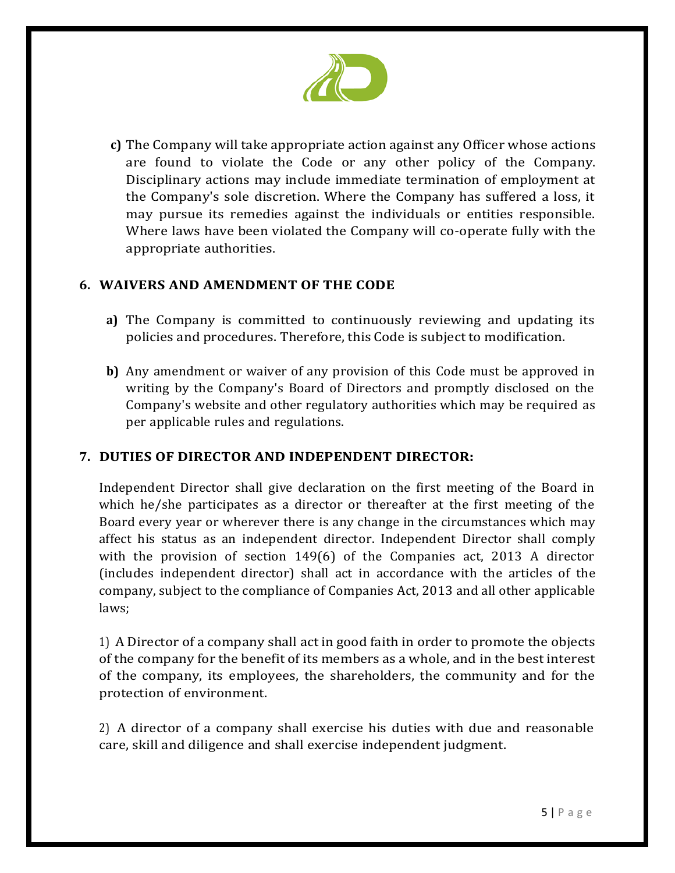

**c)** The Company will take appropriate action against any Officer whose actions are found to violate the Code or any other policy of the Company. Disciplinary actions may include immediate termination of employment at the Company's sole discretion. Where the Company has suffered a loss, it may pursue its remedies against the individuals or entities responsible. Where laws have been violated the Company will co-operate fully with the appropriate authorities.

### **6. WAIVERS AND AMENDMENT OF THE CODE**

- **a)** The Company is committed to continuously reviewing and updating its policies and procedures. Therefore, this Code is subject to modification.
- **b)** Any amendment or waiver of any provision of this Code must be approved in writing by the Company's Board of Directors and promptly disclosed on the Company's website and other regulatory authorities which may be required as per applicable rules and regulations.

## **7. DUTIES OF DIRECTOR AND INDEPENDENT DIRECTOR:**

Independent Director shall give declaration on the first meeting of the Board in which he/she participates as a director or thereafter at the first meeting of the Board every year or wherever there is any change in the circumstances which may affect his status as an independent director. Independent Director shall comply with the provision of section 149(6) of the Companies act, 2013 A director (includes independent director) shall act in accordance with the articles of the company, subject to the compliance of Companies Act, 2013 and all other applicable laws;

1) A Director of a company shall act in good faith in order to promote the objects of the company for the benefit of its members as a whole, and in the best interest of the company, its employees, the shareholders, the community and for the protection of environment.

2) A director of a company shall exercise his duties with due and reasonable care, skill and diligence and shall exercise independent judgment.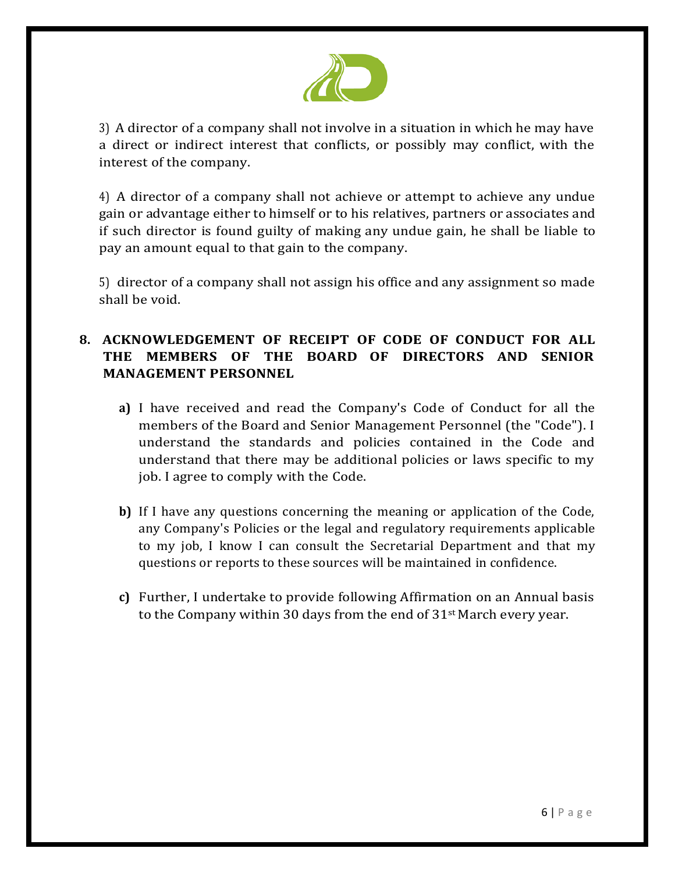

3) A director of a company shall not involve in a situation in which he may have a direct or indirect interest that conflicts, or possibly may conflict, with the interest of the company.

4) A director of a company shall not achieve or attempt to achieve any undue gain or advantage either to himself or to his relatives, partners or associates and if such director is found guilty of making any undue gain, he shall be liable to pay an amount equal to that gain to the company.

5) director of a company shall not assign his office and any assignment so made shall be void.

# **8. ACKNOWLEDGEMENT OF RECEIPT OF CODE OF CONDUCT FOR ALL THE MEMBERS OF THE BOARD OF DIRECTORS AND SENIOR MANAGEMENT PERSONNEL**

- **a)** I have received and read the Company's Code of Conduct for all the members of the Board and Senior Management Personnel (the "Code"). I understand the standards and policies contained in the Code and understand that there may be additional policies or laws specific to my job. I agree to comply with the Code.
- **b)** If I have any questions concerning the meaning or application of the Code, any Company's Policies or the legal and regulatory requirements applicable to my job, I know I can consult the Secretarial Department and that my questions or reports to these sources will be maintained in confidence.
- **c)** Further, I undertake to provide following Affirmation on an Annual basis to the Company within 30 days from the end of  $31<sup>st</sup>$  March every year.